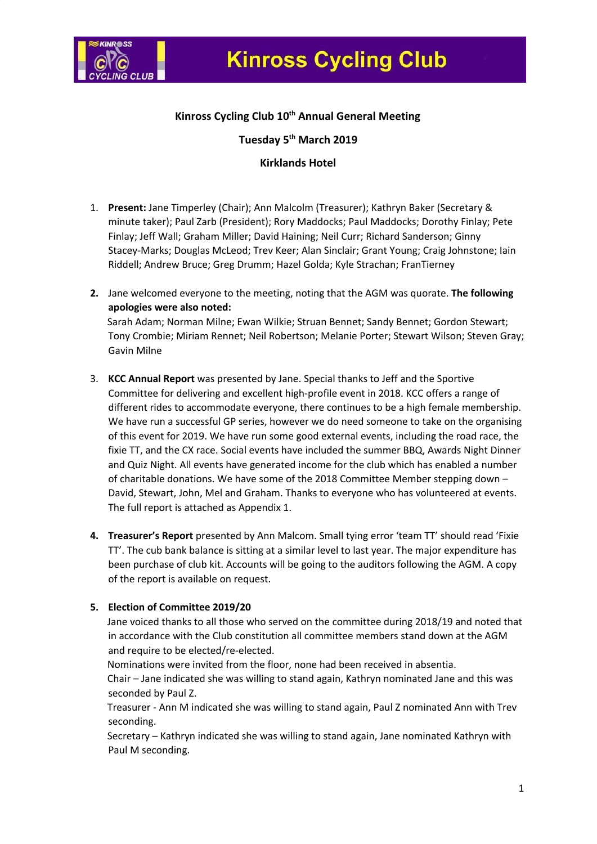

### **Kinross Cycling Club 10th Annual General Meeting**

### **Tuesday 5th March 2019**

#### **Kirklands Hotel**

- 1. **Present:** Jane Timperley (Chair); Ann Malcolm (Treasurer); Kathryn Baker (Secretary & minute taker); Paul Zarb (President); Rory Maddocks; Paul Maddocks; Dorothy Finlay; Pete Finlay; Jeff Wall; Graham Miller; David Haining; Neil Curr; Richard Sanderson; Ginny Stacey-Marks; Douglas McLeod; Trev Keer; Alan Sinclair; Grant Young; Craig Johnstone; Iain Riddell; Andrew Bruce; Greg Drumm; Hazel Golda; Kyle Strachan; FranTierney
- **2.** Jane welcomed everyone to the meeting, noting that the AGM was quorate. **The following apologies were also noted:** Sarah Adam; Norman Milne; Ewan Wilkie; Struan Bennet; Sandy Bennet; Gordon Stewart; Tony Crombie; Miriam Rennet; Neil Robertson; Melanie Porter; Stewart Wilson; Steven Gray; Gavin Milne
- 3. **KCC Annual Report** was presented by Jane. Special thanks to Jeff and the Sportive Committee for delivering and excellent high-profile event in 2018. KCC offers a range of different rides to accommodate everyone, there continues to be a high female membership. We have run a successful GP series, however we do need someone to take on the organising of this event for 2019. We have run some good external events, including the road race, the fixie TT, and the CX race. Social events have included the summer BBQ, Awards Night Dinner and Quiz Night. All events have generated income for the club which has enabled a number of charitable donations. We have some of the 2018 Committee Member stepping down – David, Stewart, John, Mel and Graham. Thanks to everyone who has volunteered at events. The full report is attached as Appendix 1.
- **4. Treasurer's Report** presented by Ann Malcom. Small tying error 'team TT' should read 'Fixie TT'. The cub bank balance is sitting at a similar level to last year. The major expenditure has been purchase of club kit. Accounts will be going to the auditors following the AGM. A copy of the report is available on request.

#### **5. Election of Committee 2019/20**

Jane voiced thanks to all those who served on the committee during 2018/19 and noted that in accordance with the Club constitution all committee members stand down at the AGM and require to be elected/re-elected.

Nominations were invited from the floor, none had been received in absentia.

Chair – Jane indicated she was willing to stand again, Kathryn nominated Jane and this was seconded by Paul Z.

Treasurer - Ann M indicated she was willing to stand again, Paul Z nominated Ann with Trev seconding.

Secretary – Kathryn indicated she was willing to stand again, Jane nominated Kathryn with Paul M seconding.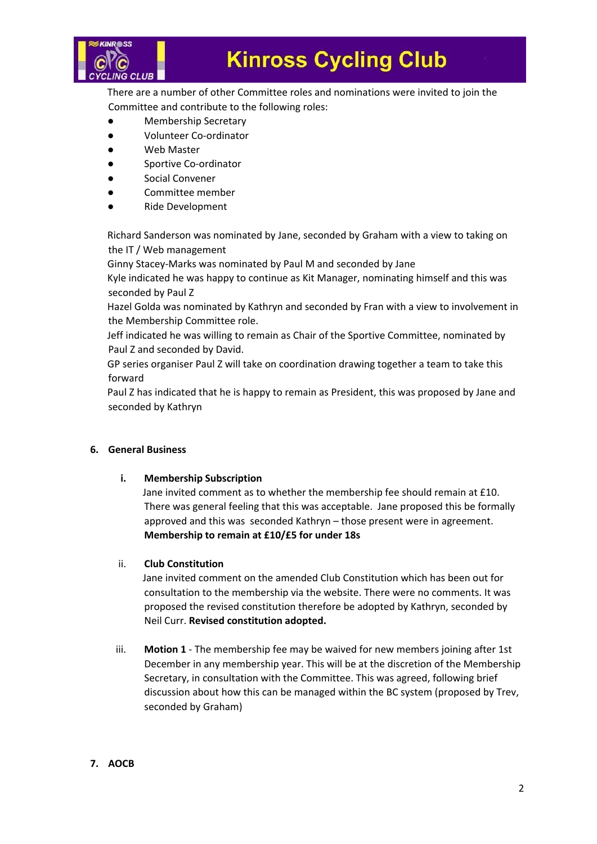

# **Kinross Cycling Club**

There are a number of other Committee roles and nominations were invited to join the Committee and contribute to the following roles:

- Membership Secretary
- Volunteer Co-ordinator
- **Web Master**
- Sportive Co-ordinator
- Social Convener
- Committee member
- Ride Development

Richard Sanderson was nominated by Jane, seconded by Graham with a view to taking on the IT / Web management

Ginny Stacey-Marks was nominated by Paul M and seconded by Jane

Kyle indicated he was happy to continue as Kit Manager, nominating himself and this was seconded by Paul Z

Hazel Golda was nominated by Kathryn and seconded by Fran with a view to involvement in the Membership Committee role.

Jeff indicated he was willing to remain as Chair of the Sportive Committee, nominated by Paul Z and seconded by David.

GP series organiser Paul Z will take on coordination drawing together a team to take this forward

Paul Z has indicated that he is happy to remain as President, this was proposed by Jane and seconded by Kathryn

#### **6. General Business**

#### **i. Membership Subscription**

Jane invited comment as to whether the membership fee should remain at £10. There was general feeling that this was acceptable. Jane proposed this be formally approved and this was seconded Kathryn – those present were in agreement. **Membership to remain at £10/£5 for under 18s**

#### ii. **Club Constitution**

Jane invited comment on the amended Club Constitution which has been out for consultation to the membership via the website. There were no comments. It was proposed the revised constitution therefore be adopted by Kathryn, seconded by Neil Curr. **Revised constitution adopted.**

iii. **Motion 1** - The membership fee may be waived for new members joining after 1st December in any membership year. This will be at the discretion of the Membership Secretary, in consultation with the Committee. This was agreed, following brief discussion about how this can be managed within the BC system (proposed by Trev, seconded by Graham)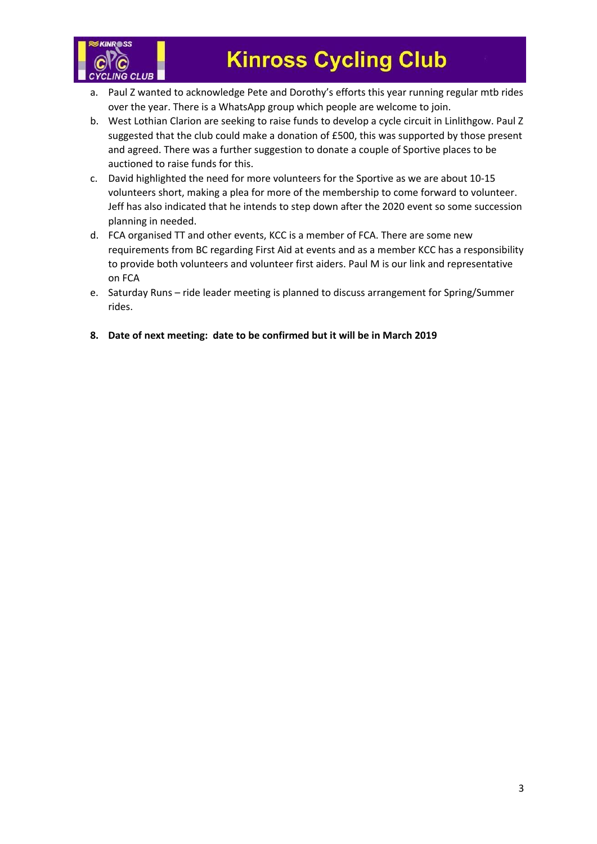

- a. Paul Z wanted to acknowledge Pete and Dorothy's efforts this year running regular mtb rides over the year. There is a WhatsApp group which people are welcome to join.
- b. West Lothian Clarion are seeking to raise funds to develop a cycle circuit in Linlithgow. Paul Z suggested that the club could make a donation of £500, this was supported by those present and agreed. There was a further suggestion to donate a couple of Sportive places to be auctioned to raise funds for this.
- c. David highlighted the need for more volunteers for the Sportive as we are about 10-15 volunteers short, making a plea for more of the membership to come forward to volunteer. Jeff has also indicated that he intends to step down after the 2020 event so some succession planning in needed.
- d. FCA organised TT and other events, KCC is a member of FCA. There are some new requirements from BC regarding First Aid at events and as a member KCC has a responsibility to provide both volunteers and volunteer first aiders. Paul M is our link and representative on FCA
- e. Saturday Runs ride leader meeting is planned to discuss arrangement for Spring/Summer rides.
- **8. Date of next meeting: date to be confirmed but it will be in March 2019**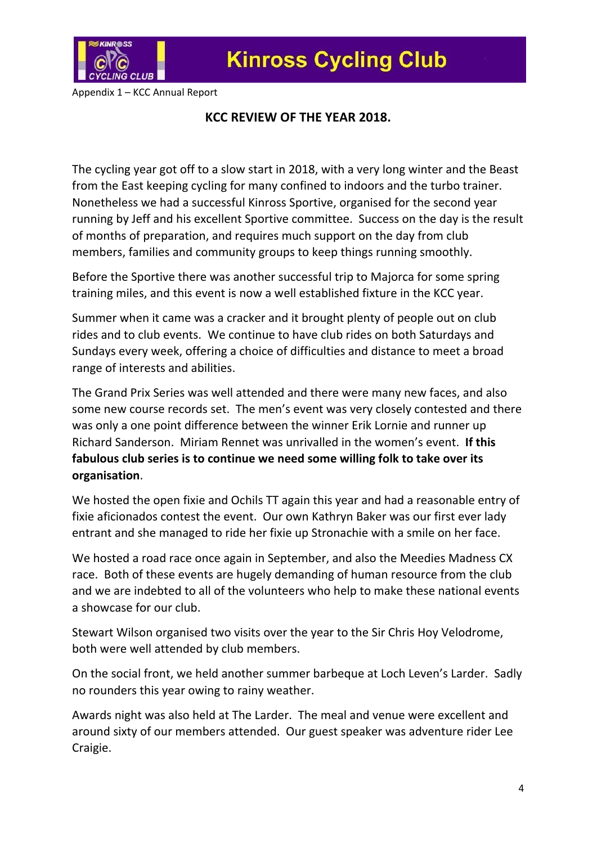

Appendix 1 – KCC Annual Report

## **KCC REVIEW OF THE YEAR 2018.**

The cycling year got off to a slow start in 2018, with a very long winter and the Beast from the East keeping cycling for many confined to indoors and the turbo trainer. Nonetheless we had a successful Kinross Sportive, organised for the second year running by Jeff and his excellent Sportive committee. Success on the day is the result of months of preparation, and requires much support on the day from club members, families and community groups to keep things running smoothly.

Before the Sportive there was another successful trip to Majorca for some spring training miles, and this event is now a well established fixture in the KCC year.

Summer when it came was a cracker and it brought plenty of people out on club rides and to club events. We continue to have club rides on both Saturdays and Sundays every week, offering a choice of difficulties and distance to meet a broad range of interests and abilities.

The Grand Prix Series was well attended and there were many new faces, and also some new course records set. The men's event was very closely contested and there was only a one point difference between the winner Erik Lornie and runner up Richard Sanderson. Miriam Rennet was unrivalled in the women's event. **If this fabulous club series is to continue we need some willing folk to take over its organisation**.

We hosted the open fixie and Ochils TT again this year and had a reasonable entry of fixie aficionados contest the event. Our own Kathryn Baker was our first ever lady entrant and she managed to ride her fixie up Stronachie with a smile on her face.

We hosted a road race once again in September, and also the Meedies Madness CX race. Both of these events are hugely demanding of human resource from the club and we are indebted to all of the volunteers who help to make these national events a showcase for our club.

Stewart Wilson organised two visits over the year to the Sir Chris Hoy Velodrome, both were well attended by club members.

On the social front, we held another summer barbeque at Loch Leven's Larder. Sadly no rounders this year owing to rainy weather.

Awards night was also held at The Larder. The meal and venue were excellent and around sixty of our members attended. Our guest speaker was adventure rider Lee Craigie.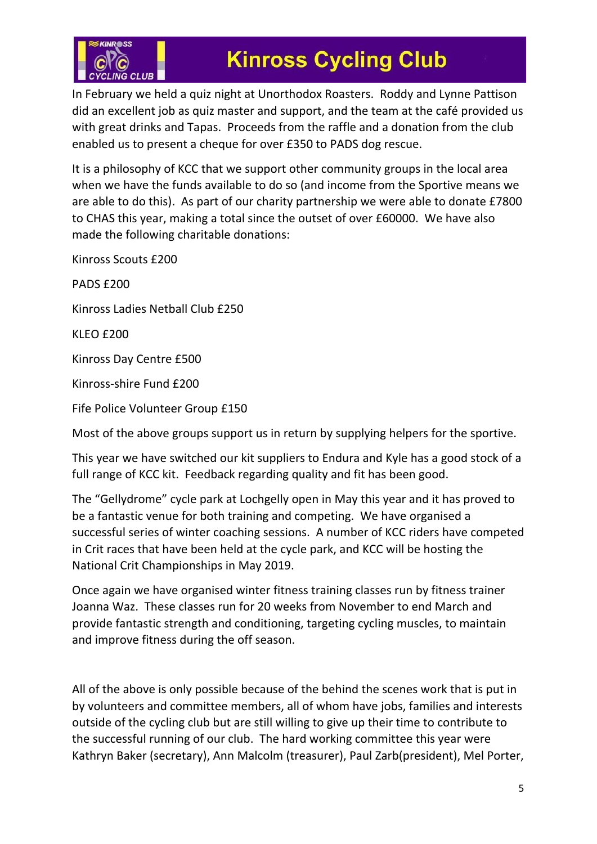

# **Kinross Cycling Club**

In February we held a quiz night at Unorthodox Roasters. Roddy and Lynne Pattison did an excellent job as quiz master and support, and the team at the café provided us with great drinks and Tapas. Proceeds from the raffle and a donation from the club enabled us to present a cheque for over £350 to PADS dog rescue.

It is a philosophy of KCC that we support other community groups in the local area when we have the funds available to do so (and income from the Sportive means we are able to do this). As part of our charity partnership we were able to donate £7800 to CHAS this year, making a total since the outset of over £60000. We have also made the following charitable donations:

Kinross Scouts £200

PADS £200 Kinross Ladies Netball Club £250 KLEO £200 Kinross Day Centre £500 Kinross-shire Fund £200 Fife Police Volunteer Group £150

Most of the above groups support us in return by supplying helpers for the sportive.

This year we have switched our kit suppliers to Endura and Kyle has a good stock of a full range of KCC kit. Feedback regarding quality and fit has been good.

The "Gellydrome" cycle park at Lochgelly open in May this year and it has proved to be a fantastic venue for both training and competing. We have organised a successful series of winter coaching sessions. A number of KCC riders have competed in Crit races that have been held at the cycle park, and KCC will be hosting the National Crit Championships in May 2019.

Once again we have organised winter fitness training classes run by fitness trainer Joanna Waz. These classes run for 20 weeks from November to end March and provide fantastic strength and conditioning, targeting cycling muscles, to maintain and improve fitness during the off season.

All of the above is only possible because of the behind the scenes work that is put in by volunteers and committee members, all of whom have jobs, families and interests outside of the cycling club but are still willing to give up their time to contribute to the successful running of our club. The hard working committee this year were Kathryn Baker (secretary), Ann Malcolm (treasurer), Paul Zarb(president), Mel Porter,